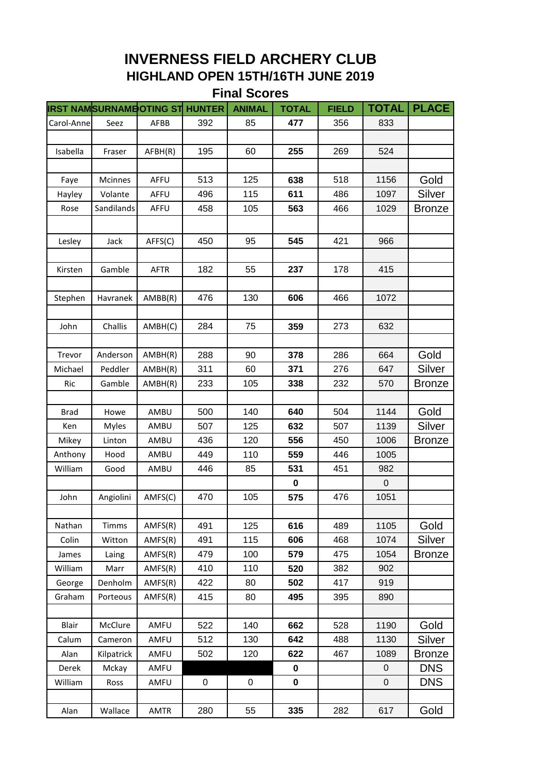## **INVERNESS FIELD ARCHERY CLUB HIGHLAND OPEN 15TH/16TH JUNE 2019 Final Scores**

|             | <b>IRST NAMSURNAMBOTING ST</b> |             | <b>HUNTER</b> | <b>ANIMAL</b> | <b>TOTAL</b> | <b>FIELD</b> | <b>TOTAL</b> | <b>PLACE</b>  |
|-------------|--------------------------------|-------------|---------------|---------------|--------------|--------------|--------------|---------------|
| Carol-Anne  | Seez                           | AFBB        | 392           | 85            | 477          | 356          | 833          |               |
|             |                                |             |               |               |              |              |              |               |
| Isabella    | Fraser                         | AFBH(R)     | 195           | 60            | 255          | 269          | 524          |               |
|             |                                |             |               |               |              |              |              |               |
| Faye        | <b>Mcinnes</b>                 | AFFU        | 513           | 125           | 638          | 518          | 1156         | Gold          |
| Hayley      | Volante                        | AFFU        | 496           | 115           | 611          | 486          | 1097         | Silver        |
| Rose        | Sandilands                     | AFFU        | 458           | 105           | 563          | 466          | 1029         | <b>Bronze</b> |
|             |                                |             |               |               |              |              |              |               |
| Lesley      | Jack                           | AFFS(C)     | 450           | 95            | 545          | 421          | 966          |               |
|             |                                |             |               |               |              |              |              |               |
| Kirsten     | Gamble                         | AFTR        | 182           | 55            | 237          | 178          | 415          |               |
|             |                                |             |               |               |              |              |              |               |
| Stephen     | Havranek                       | AMBB(R)     | 476           | 130           | 606          | 466          | 1072         |               |
|             |                                |             |               |               |              |              |              |               |
| John        | Challis                        | AMBH(C)     | 284           | 75            | 359          | 273          | 632          |               |
|             |                                |             |               |               |              |              |              |               |
| Trevor      | Anderson                       | AMBH(R)     | 288           | 90            | 378          | 286          | 664          | Gold          |
| Michael     | Peddler                        | AMBH(R)     | 311           | 60            | 371          | 276          | 647          | Silver        |
| Ric         | Gamble                         | AMBH(R)     | 233           | 105           | 338          | 232          | 570          | <b>Bronze</b> |
|             |                                |             |               |               |              |              |              |               |
| <b>Brad</b> | Howe                           | AMBU        | 500           | 140           | 640          | 504          | 1144         | Gold          |
| Ken         | <b>Myles</b>                   | AMBU        | 507           | 125           | 632          | 507          | 1139         | Silver        |
| Mikey       | Linton                         | AMBU        | 436           | 120           | 556          | 450          | 1006         | <b>Bronze</b> |
| Anthony     | Hood                           | AMBU        | 449           | 110           | 559          | 446          | 1005         |               |
| William     | Good                           | AMBU        | 446           | 85            | 531          | 451          | 982          |               |
|             |                                |             |               |               | 0            |              | $\mathbf 0$  |               |
| John        | Angiolini                      | AMFS(C)     | 470           | 105           | 575          | 476          | 1051         |               |
|             |                                |             |               |               |              |              |              |               |
| Nathan      | <b>Timms</b>                   | AMFS(R)     | 491           | 125           | 616          | 489          | 1105         | Gold          |
| Colin       | Witton                         | AMFS(R)     | 491           | 115           | 606          | 468          | 1074         | <b>Silver</b> |
| James       | Laing                          | AMFS(R)     | 479           | 100           | 579          | 475          | 1054         | <b>Bronze</b> |
| William     | Marr                           | AMFS(R)     | 410           | 110           | 520          | 382          | 902          |               |
| George      | Denholm                        | AMFS(R)     | 422           | 80            | 502          | 417          | 919          |               |
| Graham      | Porteous                       | AMFS(R)     | 415           | 80            | 495          | 395          | 890          |               |
|             |                                |             |               |               |              |              |              |               |
| Blair       | McClure                        | AMFU        | 522           | 140           | 662          | 528          | 1190         | Gold          |
| Calum       | Cameron                        | AMFU        | 512           | 130           | 642          | 488          | 1130         | Silver        |
| Alan        | Kilpatrick                     | AMFU        | 502           | 120           | 622          | 467          | 1089         | <b>Bronze</b> |
| Derek       | Mckay                          | AMFU        |               |               | $\pmb{0}$    |              | 0            | <b>DNS</b>    |
| William     | Ross                           | AMFU        | $\pmb{0}$     | $\pmb{0}$     | 0            |              | $\mathbf 0$  | <b>DNS</b>    |
|             |                                |             |               |               |              |              |              |               |
| Alan        | Wallace                        | <b>AMTR</b> | 280           | 55            | 335          | 282          | 617          | Gold          |